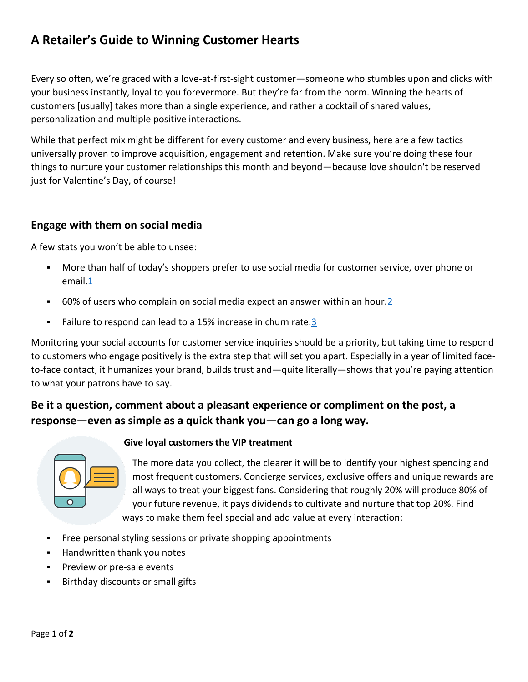Every so often, we're graced with a love-at-first-sight customer—someone who stumbles upon and clicks with your business instantly, loyal to you forevermore. But they're far from the norm. Winning the hearts of customers [usually] takes more than a single experience, and rather a cocktail of shared values, personalization and multiple positive interactions.

While that perfect mix might be different for every customer and every business, here are a few tactics universally proven to improve acquisition, engagement and retention. Make sure you're doing these four things to nurture your customer relationships this month and beyond—because love shouldn't be reserved just for Valentine's Day, of course!

## **Engage with them on social media**

A few stats you won't be able to unsee:

- More than half of today's shoppers prefer to use social media for customer service, over phone or email[.1](https://www.adweek.com/performance-marketing/more-than-one-half-of-consumers-prefer-social-customer-service-report/)
- 60% of users who complain on social media expect an answer within an hour[.2](https://www.socialmediatoday.com/social-business/social-media-customer-service-statistics-and-trends-infographic)
- Failure to respond can lead to a 15% increase in churn rate[.3](https://www.providesupport.com/blog/wp-content/uploads/2017/09/Social-Media-Customer-Service-Stats-and-Trends-You-Need-to-Know.jpg)

Monitoring your social accounts for customer service inquiries should be a priority, but taking time to respond to customers who engage positively is the extra step that will set you apart. Especially in a year of limited faceto-face contact, it humanizes your brand, builds trust and—quite literally—shows that you're paying attention to what your patrons have to say.

# **Be it a question, comment about a pleasant experience or compliment on the post, a response—even as simple as a quick thank you—can go a long way.**



### **Give loyal customers the VIP treatment**

The more data you collect, the clearer it will be to identify your highest spending and most frequent customers. Concierge services, exclusive offers and unique rewards are all ways to treat your biggest fans. Considering that roughly 20% will produce 80% of your future revenue, it pays dividends to cultivate and nurture that top 20%. Find ways to make them feel special and add value at every interaction:

- Free personal styling sessions or private shopping appointments
- Handwritten thank you notes
- Preview or pre-sale events
- Birthday discounts or small gifts